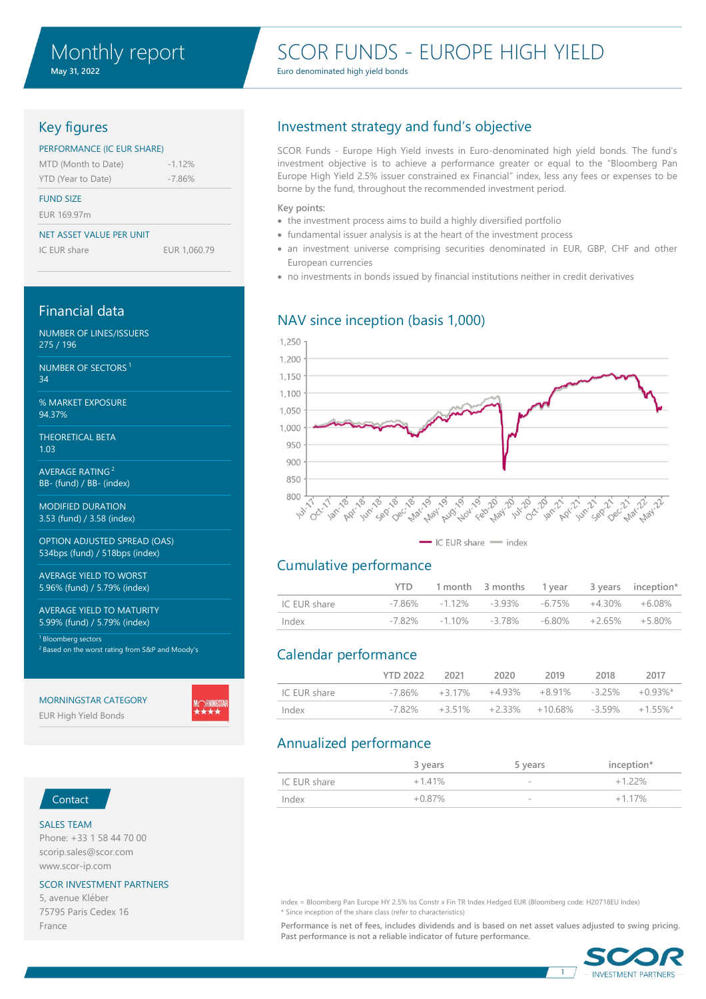# SCOR FUNDS - EUROPE HIGH YIELD

Euro denominated high yield bonds

## Key figures

### PERFORMANCE (IC EUR SHARE)

| MTD (Month to Date) | $-1.12%$ |
|---------------------|----------|
| YTD (Year to Date)  | $-7.86%$ |

### FUND SIZE

EUR 169.97m

### NET ASSET VALUE PER UNIT

IC EUR share EUR 1,060.79

### Financial data

NUMBER OF LINES/ISSUERS 275 / 196

NUMBER OF SECTORS <sup>1</sup> 34

% MARKET EXPOSURE 94.37%

THEORETICAL BETA 1.03

AVERAGE RATING <sup>2</sup> BB- (fund) / BB- (index)

MODIFIED DURATION 3.53 (fund) / 3.58 (index)

OPTION ADJUSTED SPREAD (OAS) 534bps (fund) / 518bps (index)

AVERAGE YIELD TO WORST 5.96% (fund) / 5.79% (index)

AVERAGE YIELD TO MATURITY 5.99% (fund) / 5.79% (index)

<sup>1</sup> Bloomberg sectors <sup>2</sup> Based on the worst rating from S&P and Moody's

### MORNINGSTAR CATEGORY

EUR High Yield Bonds

## Investment strategy and fund's objective

SCOR Funds - Europe High Yield invests in Euro-denominated high yield bonds. The fund's investment objective is to achieve a performance greater or equal to the "Bloomberg Pan Europe High Yield 2.5% issuer constrained ex Financial" index, less any fees or expenses to be borne by the fund, throughout the recommended investment period.

### **Key points:**

- the investment process aims to build a highly diversified portfolio
- fundamental issuer analysis is at the heart of the investment process
- an investment universe comprising securities denominated in EUR, GBP, CHF and other European currencies
- no investments in bonds issued by financial institutions neither in credit derivatives

## NAV since inception (basis 1,000)





## Cumulative performance

|              | YTD. |                                                             |  | 1 month 3 months 1 year 3 years inception* |
|--------------|------|-------------------------------------------------------------|--|--------------------------------------------|
| IC EUR share |      | $-7.86\%$ $-1.12\%$ $-3.93\%$ $-6.75\%$ $+4.30\%$ $+6.08\%$ |  |                                            |
| Index        |      | $-7.82\%$ $-1.10\%$ $-3.78\%$ $-6.80\%$ $+2.65\%$ $+5.80\%$ |  |                                            |

## Calendar performance

|              | <b>YTD 2022</b> | 2021    | 2020 | 2019                                               | 2018 | 2017 |
|--------------|-----------------|---------|------|----------------------------------------------------|------|------|
| IC EUR share | -7 86%          | $+317%$ |      | $+4.93\%$ $+8.91\%$ $-3.25\%$ $+0.93\%$            |      |      |
| Index        | -7 82%          |         |      | $+3.51\%$ $+2.33\%$ $+10.68\%$ $-3.59\%$ $+1.55\%$ |      |      |

## Annualized performance

|              | 3 years   | 5 years                  | inception* |
|--------------|-----------|--------------------------|------------|
| IC EUR share | $+141%$   | $\sim$                   | $+122%$    |
| Index        | $+0.87\%$ | $\overline{\phantom{a}}$ | $+117\%$   |

## Contact

### SALES TEAM

Phone: +33 1 58 44 70 00 scorip.sales@scor.com www.scor-ip.com

### SCOR INVESTMENT PARTNERS

5, avenue Kléber 75795 Paris Cedex 16 France

index = Bloomberg Pan Europe HY 2.5% Iss Constr x Fin TR Index Hedged EUR (Bloomberg code: H20718EU Index) \* Since inception of the share class (refer to characteristics)

**Performance is net of fees, includes dividends and is based on net asset values adjusted to swing pricing. Past performance is not a reliable indicator of future performance.**



1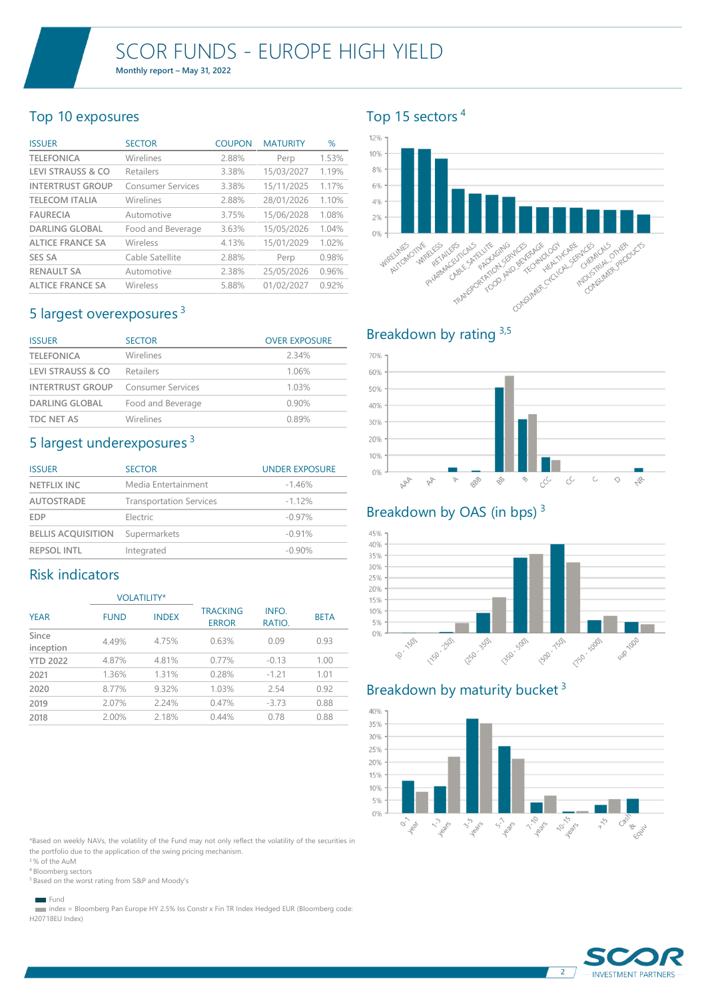**Monthly report – May 31, 2022**

## Top 10 exposures

| <b>ISSUER</b>                | <b>SECTOR</b>            | <b>COUPON</b> | <b>MATURITY</b> | %     |
|------------------------------|--------------------------|---------------|-----------------|-------|
| <b>TELEFONICA</b>            | Wirelines                | 2.88%         | Perp            | 1.53% |
| <b>LEVI STRAUSS &amp; CO</b> | Retailers                | 3.38%         | 15/03/2027      | 1.19% |
| <b>INTERTRUST GROUP</b>      | <b>Consumer Services</b> | 3.38%         | 15/11/2025      | 1.17% |
| <b>TELECOM ITALIA</b>        | Wirelines                | 2.88%         | 28/01/2026      | 1.10% |
| <b>FAURECIA</b>              | Automotive               | 3.75%         | 15/06/2028      | 1.08% |
| <b>DARLING GLOBAL</b>        | Food and Beverage        | 3.63%         | 15/05/2026      | 1.04% |
| <b>ALTICE FRANCE SA</b>      | Wireless                 | 4.13%         | 15/01/2029      | 1.02% |
| <b>SES SA</b>                | Cable Satellite          | 2.88%         | Perp            | 0.98% |
| <b>RENAULT SA</b>            | Automotive               | 2.38%         | 25/05/2026      | 0.96% |
| <b>ALTICE FRANCE SA</b>      | Wireless                 | 5.88%         | 01/02/2027      | 0.92% |

## 5 largest overexposures <sup>3</sup>

| <b>ISSUER</b>                | <b>SECTOR</b>            | <b>OVER EXPOSURE</b> |
|------------------------------|--------------------------|----------------------|
| <b>TELEFONICA</b>            | Wirelines                | 234%                 |
| <b>LEVI STRAUSS &amp; CO</b> | Retailers                | 1.06%                |
| <b>INTERTRUST GROUP</b>      | <b>Consumer Services</b> | 1.03%                |
| <b>DARLING GLOBAL</b>        | Food and Beverage        | 0.90%                |
| <b>TDC NET AS</b>            | Wirelines                | 0.89%                |

## 5 largest underexposures <sup>3</sup>

| <b>ISSUER</b>             | <b>SECTOR</b>                  | <b>UNDER EXPOSURE</b> |
|---------------------------|--------------------------------|-----------------------|
| <b>NETFLIX INC</b>        | Media Entertainment            | $-1.46%$              |
| <b>AUTOSTRADE</b>         | <b>Transportation Services</b> | $-1.12%$              |
| <b>EDP</b>                | Electric                       | $-0.97%$              |
| <b>BELLIS ACOUISITION</b> | Supermarkets                   | $-0.91%$              |
| <b>REPSOL INTL</b>        | Integrated                     | $-0.90\%$             |

## Risk indicators

|                    |             | <b>VOLATILITY*</b> |                                 |                 |             |
|--------------------|-------------|--------------------|---------------------------------|-----------------|-------------|
| <b>YEAR</b>        | <b>FUND</b> | <b>INDEX</b>       | <b>TRACKING</b><br><b>ERROR</b> | INFO.<br>RATIO. | <b>BETA</b> |
| Since<br>inception | 4.49%       | 4.75%              | 0.63%                           | 0.09            | 0.93        |
| <b>YTD 2022</b>    | 4.87%       | 4.81%              | 0.77%                           | $-0.13$         | 1.00        |
| 2021               | 1.36%       | 1.31%              | 0.28%                           | $-1.21$         | 1.01        |
| 2020               | 8.77%       | 9.32%              | 1.03%                           | 2.54            | 0.92        |
| 2019               | 2.07%       | 2.24%              | 0.47%                           | $-3.73$         | 0.88        |
| 2018               | 2.00%       | 2.18%              | 0.44%                           | 0.78            | 0.88        |

\*Based on weekly NAVs, the volatility of the Fund may not only reflect the volatility of the securities in the portfolio due to the application of the swing pricing mechanism.

<sup>3</sup>% of the AuM <sup>4</sup> Bloomberg sectors

<sup>5</sup> Based on the worst rating from S&P and Moody's

Fund

 index = Bloomberg Pan Europe HY 2.5% Iss Constr x Fin TR Index Hedged EUR (Bloomberg code: H20718EU Index)

## Top 15 sectors <sup>4</sup>

### 12% 10%  $9%$ 6% 4% 2% **THE REPORT OF STATE OF CAR AND THE REPORT OF STATE OF STATE OF STATE OF STATE OF STATE OF STATE OF STATE OF S** Computer Computer Computer Consumer Cricket Magnetics 0% ALITOMOTIVE PHARMACASTICALS **WIRELESS** WIRELINES TRANSPORTAGING AND ACTION ANCESTICALS PRO



## Breakdown by OAS (in bps)<sup>3</sup>

#### 45% 40% 35% 30% 25% 20% 15% 10% 5% 1150-2501 1350 SOD FOD 1501 0% Elise 150 T50-1000 10-1501 Sup 100

## Breakdown by maturity bucket<sup>3</sup>





2

**INVESTMENT PARTNERS**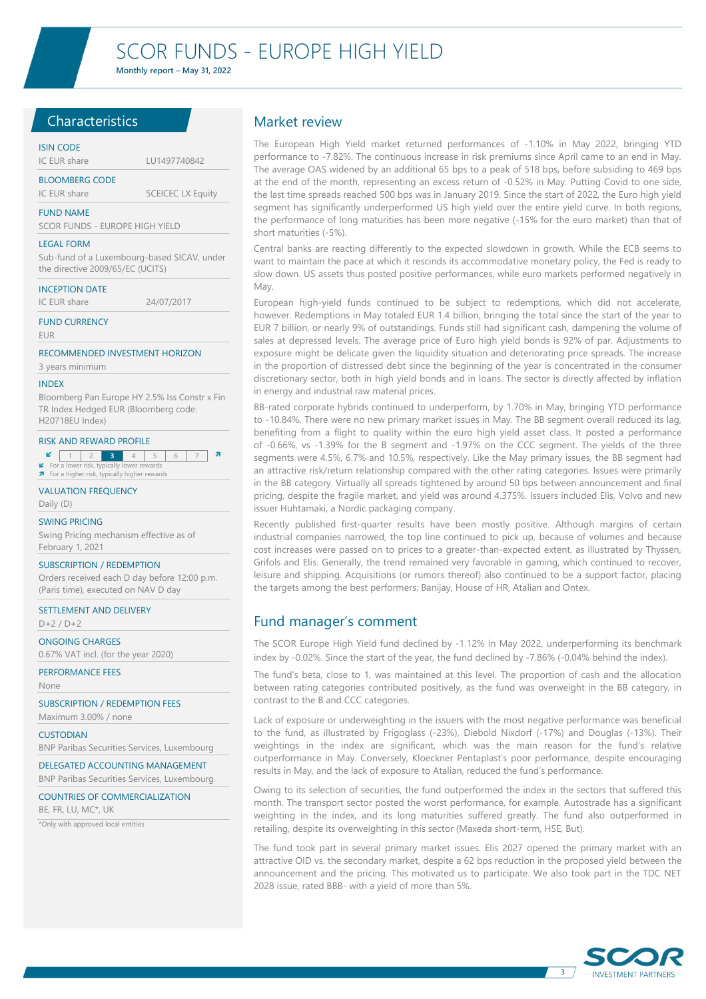**Monthly report – May 31, 2022**

### **Characteristics**

### ISIN CODE

### IC EUR share LU1497740842 BLOOMBERG CODE

IC EUR share SCEICEC LX Equity

### FUND NAME

SCOR FUNDS - EUROPE HIGH YIELD

#### LEGAL FORM

Sub-fund of a Luxembourg-based SICAV, under the directive 2009/65/EC (UCITS)

### INCEPTION DATE

IC EUR share 24/07/2017

FUND CURRENCY

EUR

### RECOMMENDED INVESTMENT HORIZON

### 3 years minimum

#### INDEX

Bloomberg Pan Europe HY 2.5% Iss Constr x Fin TR Index Hedged EUR (Bloomberg code: H20718EU Index)

#### RISK AND REWARD PROFILE

**2** 1 2 3 4 5 6 7 **7** ■ For a lower risk, typically lower rewards<br>■ For a higher risk, typically higher rewards

## VALUATION FREQUENCY

Daily (D)

## SWING PRICING

Swing Pricing mechanism effective as of February 1, 2021

### SUBSCRIPTION / REDEMPTION

Orders received each D day before 12:00 p.m. (Paris time), executed on NAV D day

### SETTLEMENT AND DELIVERY  $D+2/D+2$

ONGOING CHARGES 0.67% VAT incl. (for the year 2020)

PERFORMANCE FEES

None

SUBSCRIPTION / REDEMPTION FEES Maximum 3.00% / none

CUSTODIAN BNP Paribas Securities Services, Luxembourg

DELEGATED ACCOUNTING MANAGEMENT BNP Paribas Securities Services, Luxembourg

COUNTRIES OF COMMERCIALIZATION

BE, FR, LU, MC\*, UK

\*Only with approved local entities

### Market review

The European High Yield market returned performances of -1.10% in May 2022, bringing YTD performance to -7.82%. The continuous increase in risk premiums since April came to an end in May. The average OAS widened by an additional 65 bps to a peak of 518 bps, before subsiding to 469 bps at the end of the month, representing an excess return of -0.52% in May. Putting Covid to one side, the last time spreads reached 500 bps was in January 2019. Since the start of 2022, the Euro high yield segment has significantly underperformed US high yield over the entire yield curve. In both regions, the performance of long maturities has been more negative (-15% for the euro market) than that of short maturities (-5%).

Central banks are reacting differently to the expected slowdown in growth. While the ECB seems to want to maintain the pace at which it rescinds its accommodative monetary policy, the Fed is ready to slow down. US assets thus posted positive performances, while euro markets performed negatively in May.

European high-yield funds continued to be subject to redemptions, which did not accelerate, however. Redemptions in May totaled EUR 1.4 billion, bringing the total since the start of the year to EUR 7 billion, or nearly 9% of outstandings. Funds still had significant cash, dampening the volume of sales at depressed levels. The average price of Euro high yield bonds is 92% of par. Adjustments to exposure might be delicate given the liquidity situation and deteriorating price spreads. The increase in the proportion of distressed debt since the beginning of the year is concentrated in the consumer discretionary sector, both in high yield bonds and in loans. The sector is directly affected by inflation in energy and industrial raw material prices.

BB-rated corporate hybrids continued to underperform, by 1.70% in May, bringing YTD performance to -10.84%. There were no new primary market issues in May. The BB segment overall reduced its lag, benefiting from a flight to quality within the euro high yield asset class. It posted a performance of -0.66%, vs -1.39% for the B segment and -1.97% on the CCC segment. The yields of the three segments were 4.5%, 6.7% and 10.5%, respectively. Like the May primary issues, the BB segment had an attractive risk/return relationship compared with the other rating categories. Issues were primarily in the BB category. Virtually all spreads tightened by around 50 bps between announcement and final pricing, despite the fragile market, and yield was around 4.375%. Issuers included Elis, Volvo and new issuer Huhtamaki, a Nordic packaging company.

Recently published first-quarter results have been mostly positive. Although margins of certain industrial companies narrowed, the top line continued to pick up, because of volumes and because cost increases were passed on to prices to a greater-than-expected extent, as illustrated by Thyssen, Grifols and Elis. Generally, the trend remained very favorable in gaming, which continued to recover, leisure and shipping. Acquisitions (or rumors thereof) also continued to be a support factor, placing the targets among the best performers: Banijay, House of HR, Atalian and Ontex.

## Fund manager's comment

The SCOR Europe High Yield fund declined by -1.12% in May 2022, underperforming its benchmark index by -0.02%. Since the start of the year, the fund declined by -7.86% (-0.04% behind the index).

The fund's beta, close to 1, was maintained at this level. The proportion of cash and the allocation between rating categories contributed positively, as the fund was overweight in the BB category, in contrast to the B and CCC categories.

Lack of exposure or underweighting in the issuers with the most negative performance was beneficial to the fund, as illustrated by Frigoglass (-23%), Diebold Nixdorf (-17%) and Douglas (-13%). Their weightings in the index are significant, which was the main reason for the fund's relative outperformance in May. Conversely, Kloeckner Pentaplast's poor performance, despite encouraging results in May, and the lack of exposure to Atalian, reduced the fund's performance.

Owing to its selection of securities, the fund outperformed the index in the sectors that suffered this month. The transport sector posted the worst performance, for example. Autostrade has a significant weighting in the index, and its long maturities suffered greatly. The fund also outperformed in retailing, despite its overweighting in this sector (Maxeda short-term, HSE, But).

The fund took part in several primary market issues. Elis 2027 opened the primary market with an attractive OID vs. the secondary market, despite a 62 bps reduction in the proposed yield between the announcement and the pricing. This motivated us to participate. We also took part in the TDC NET 2028 issue, rated BBB- with a yield of more than 5%.